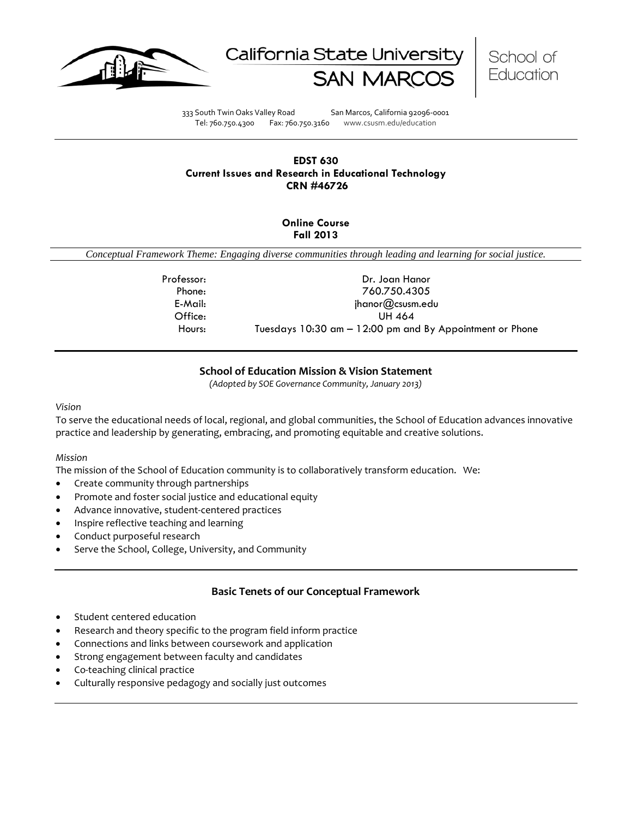





333 South Twin Oaks Valley Road San Marcos, California 92096-0001 Tel: 760.750.4300 Fax: 760.750.3160 www.csusm.edu/education

## **EDST 630 Current Issues and Research in Educational Technology CRN #46726**

## **Online Course Fall 2013**

*Conceptual Framework Theme: Engaging diverse communities through leading and learning for social justice.*

Professor: Dr. Joan Hanor Phone: 760.750.4305 E-Mail: jhanor@csusm.edu Office: UH 464 Hours: Tuesdays 10:30 am – 12:00 pm and By Appointment or Phone

## **School of Education Mission & Vision Statement**

*(Adopted by SOE Governance Community, January 2013)*

#### <span id="page-0-0"></span>*Vision*

To serve the educational needs of local, regional, and global communities, the School of Education advances innovative practice and leadership by generating, embracing, and promoting equitable and creative solutions.

#### *Mission*

The mission of the School of Education community is to collaboratively transform education. We:

- Create community through partnerships
- Promote and foster social justice and educational equity
- Advance innovative, student-centered practices
- Inspire reflective teaching and learning
- Conduct purposeful research
- Serve the School, College, University, and Community

## **Basic Tenets of our Conceptual Framework**

- <span id="page-0-1"></span>Student centered education
- Research and theory specific to the program field inform practice
- Connections and links between coursework and application
- Strong engagement between faculty and candidates
- Co-teaching clinical practice
- Culturally responsive pedagogy and socially just outcomes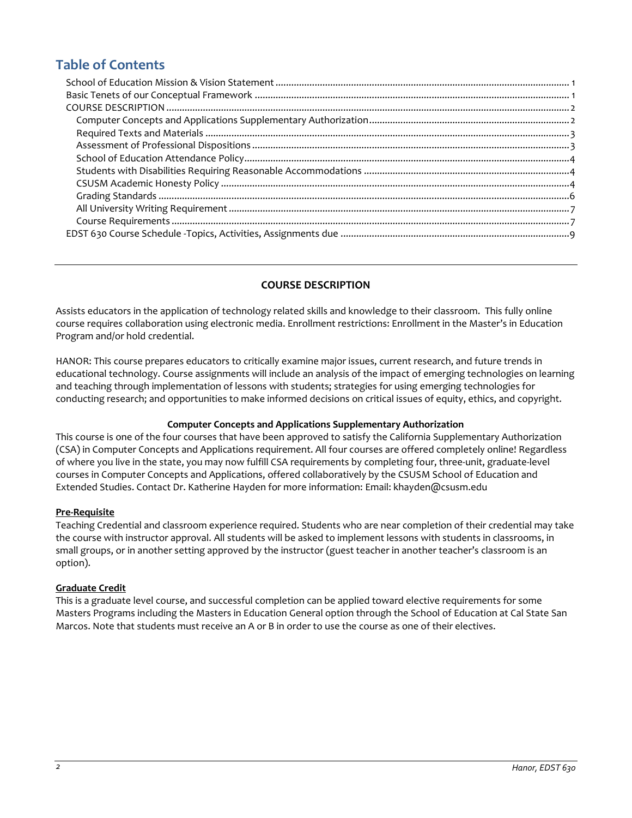# **Table of Contents**

## **COURSE DESCRIPTION**

<span id="page-1-0"></span>Assists educators in the application of technology related skills and knowledge to their classroom. This fully online course requires collaboration using electronic media. Enrollment restrictions: Enrollment in the Master's in Education Program and/or hold credential.

HANOR: This course prepares educators to critically examine major issues, current research, and future trends in educational technology. Course assignments will include an analysis of the impact of emerging technologies on learning and teaching through implementation of lessons with students; strategies for using emerging technologies for conducting research; and opportunities to make informed decisions on critical issues of equity, ethics, and copyright.

#### **Computer Concepts and Applications Supplementary Authorization**

<span id="page-1-1"></span>This course is one of the four courses that have been approved to satisfy the California Supplementary Authorization (CSA) in Computer Concepts and Applications requirement. All four courses are offered completely online! Regardless of where you live in the state, you may now fulfill CSA requirements by completing four, three-unit, graduate-level courses in Computer Concepts and Applications, offered collaboratively by the CSUSM School of Education and Extended Studies. Contact Dr. Katherine Hayden for more information: Email: khayden@csusm.edu

#### **Pre-Requisite**

Teaching Credential and classroom experience required. Students who are near completion of their credential may take the course with instructor approval. All students will be asked to implement lessons with students in classrooms, in small groups, or in another setting approved by the instructor (guest teacher in another teacher's classroom is an option).

#### **Graduate Credit**

This is a graduate level course, and successful completion can be applied toward elective requirements for some Masters Programs including the Masters in Education General option through the School of Education at Cal State San Marcos. Note that students must receive an A or B in order to use the course as one of their electives.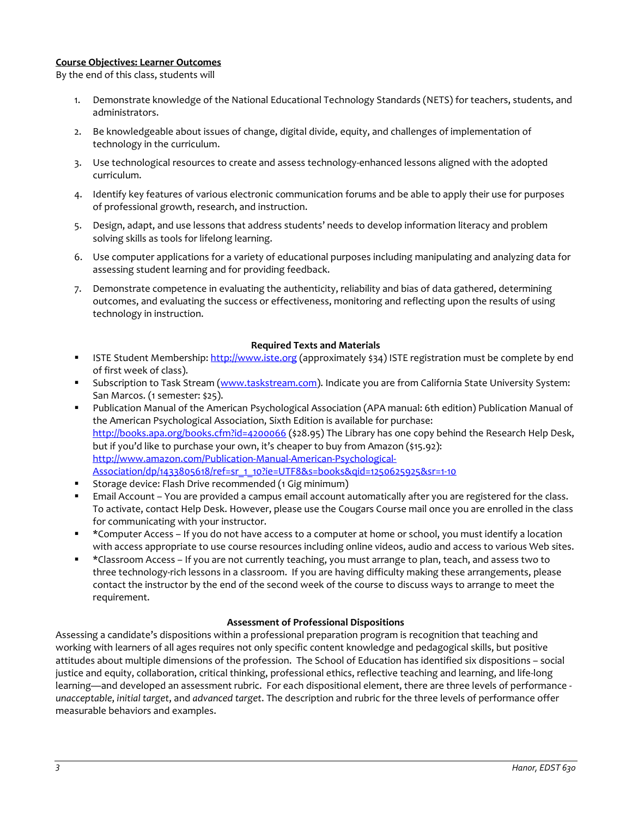#### **Course Objectives: Learner Outcomes**

By the end of this class, students will

- 1. Demonstrate knowledge of the National Educational Technology Standards (NETS) for teachers, students, and administrators.
- 2. Be knowledgeable about issues of change, digital divide, equity, and challenges of implementation of technology in the curriculum.
- 3. Use technological resources to create and assess technology-enhanced lessons aligned with the adopted curriculum.
- 4. Identify key features of various electronic communication forums and be able to apply their use for purposes of professional growth, research, and instruction.
- 5. Design, adapt, and use lessons that address students' needs to develop information literacy and problem solving skills as tools for lifelong learning.
- 6. Use computer applications for a variety of educational purposes including manipulating and analyzing data for assessing student learning and for providing feedback.
- 7. Demonstrate competence in evaluating the authenticity, reliability and bias of data gathered, determining outcomes, and evaluating the success or effectiveness, monitoring and reflecting upon the results of using technology in instruction.

#### **Required Texts and Materials**

- <span id="page-2-0"></span>ISTE Student Membership[: http://www.iste.org](http://www.iste.org/) (approximately \$34) ISTE registration must be complete by end of first week of class).
- Subscription to Task Stream [\(www.taskstream.com\)](http://www.taskstream.com/). Indicate you are from California State University System: San Marcos. (1 semester: \$25).
- Publication Manual of the American Psychological Association (APA manual: 6th edition) Publication Manual of the American Psychological Association, Sixth Edition is available for purchase: <http://books.apa.org/books.cfm?id=4200066> (\$28.95) The Library has one copy behind the Research Help Desk, but if you'd like to purchase your own, it's cheaper to buy from Amazon (\$15.92): [http://www.amazon.com/Publication-Manual-American-Psychological-](http://www.amazon.com/Publication-Manual-American-Psychological-Association/dp/1433805618/ref=sr_1_10?ie=UTF8&s=books&qid=1250625925&sr=1-10)[Association/dp/1433805618/ref=sr\\_1\\_10?ie=UTF8&s=books&qid=1250625925&sr=1-10](http://www.amazon.com/Publication-Manual-American-Psychological-Association/dp/1433805618/ref=sr_1_10?ie=UTF8&s=books&qid=1250625925&sr=1-10)
- Storage device: Flash Drive recommended (1 Gig minimum)
- Email Account You are provided a campus email account automatically after you are registered for the class. To activate, contact Help Desk. However, please use the Cougars Course mail once you are enrolled in the class for communicating with your instructor.
- \*Computer Access If you do not have access to a computer at home or school, you must identify a location with access appropriate to use course resources including online videos, audio and access to various Web sites.
- \*Classroom Access If you are not currently teaching, you must arrange to plan, teach, and assess two to three technology-rich lessons in a classroom. If you are having difficulty making these arrangements, please contact the instructor by the end of the second week of the course to discuss ways to arrange to meet the requirement.

#### **Assessment of Professional Dispositions**

<span id="page-2-1"></span>Assessing a candidate's dispositions within a professional preparation program is recognition that teaching and working with learners of all ages requires not only specific content knowledge and pedagogical skills, but positive attitudes about multiple dimensions of the profession. The School of Education has identified six dispositions – social justice and equity, collaboration, critical thinking, professional ethics, reflective teaching and learning, and life-long learning—and developed an assessment rubric. For each dispositional element, there are three levels of performance *unacceptable*, *initial target*, and *advanced target*. The description and rubric for the three levels of performance offer measurable behaviors and examples.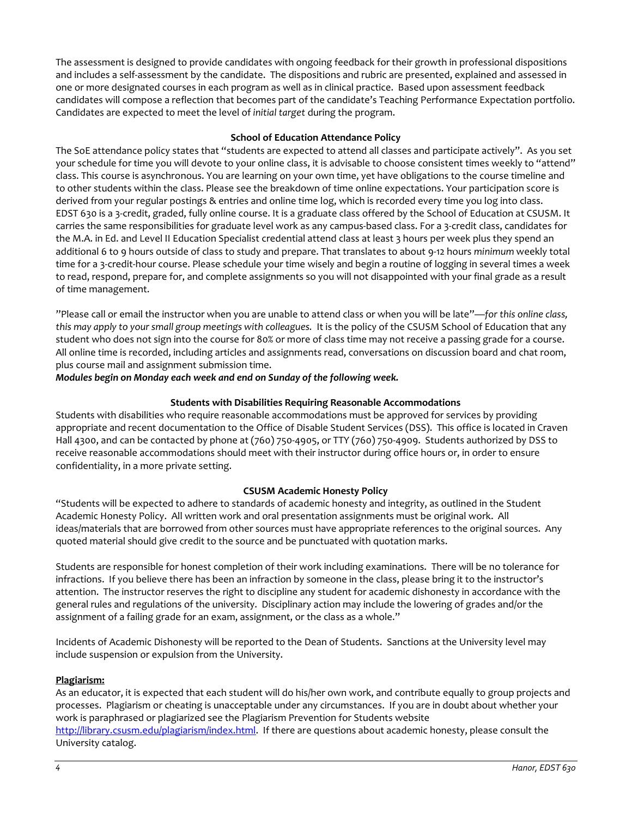The assessment is designed to provide candidates with ongoing feedback for their growth in professional dispositions and includes a self-assessment by the candidate. The dispositions and rubric are presented, explained and assessed in one or more designated courses in each program as well as in clinical practice. Based upon assessment feedback candidates will compose a reflection that becomes part of the candidate's Teaching Performance Expectation portfolio. Candidates are expected to meet the level of *initial target* during the program.

#### **School of Education Attendance Policy**

<span id="page-3-0"></span>The SoE attendance policy states that "students are expected to attend all classes and participate actively". As you set your schedule for time you will devote to your online class, it is advisable to choose consistent times weekly to "attend" class. This course is asynchronous. You are learning on your own time, yet have obligations to the course timeline and to other students within the class. Please see the breakdown of time online expectations. Your participation score is derived from your regular postings & entries and online time log, which is recorded every time you log into class. EDST 630 is a 3-credit, graded, fully online course. It is a graduate class offered by the School of Education at CSUSM. It carries the same responsibilities for graduate level work as any campus-based class. For a 3-credit class, candidates for the M.A. in Ed. and Level II Education Specialist credential attend class at least 3 hours per week plus they spend an additional 6 to 9 hours outside of class to study and prepare. That translates to about 9-12 hours *minimum* weekly total time for a 3-credit-hour course. Please schedule your time wisely and begin a routine of logging in several times a week to read, respond, prepare for, and complete assignments so you will not disappointed with your final grade as a result of time management.

"Please call or email the instructor when you are unable to attend class or when you will be late"—*for this online class, this may apply to your small group meetings with colleagues.* It is the policy of the CSUSM School of Education that any student who does not sign into the course for 80% or more of class time may not receive a passing grade for a course. All online time is recorded, including articles and assignments read, conversations on discussion board and chat room, plus course mail and assignment submission time.

*Modules begin on Monday each week and end on Sunday of the following week.* 

## **Students with Disabilities Requiring Reasonable Accommodations**

<span id="page-3-1"></span>Students with disabilities who require reasonable accommodations must be approved for services by providing appropriate and recent documentation to the Office of Disable Student Services (DSS). This office is located in Craven Hall 4300, and can be contacted by phone at (760) 750-4905, or TTY (760) 750-4909. Students authorized by DSS to receive reasonable accommodations should meet with their instructor during office hours or, in order to ensure confidentiality, in a more private setting.

## **CSUSM Academic Honesty Policy**

<span id="page-3-2"></span>"Students will be expected to adhere to standards of academic honesty and integrity, as outlined in the Student Academic Honesty Policy. All written work and oral presentation assignments must be original work. All ideas/materials that are borrowed from other sources must have appropriate references to the original sources. Any quoted material should give credit to the source and be punctuated with quotation marks.

Students are responsible for honest completion of their work including examinations. There will be no tolerance for infractions. If you believe there has been an infraction by someone in the class, please bring it to the instructor's attention. The instructor reserves the right to discipline any student for academic dishonesty in accordance with the general rules and regulations of the university. Disciplinary action may include the lowering of grades and/or the assignment of a failing grade for an exam, assignment, or the class as a whole."

Incidents of Academic Dishonesty will be reported to the Dean of Students. Sanctions at the University level may include suspension or expulsion from the University.

#### **Plagiarism:**

As an educator, it is expected that each student will do his/her own work, and contribute equally to group projects and processes. Plagiarism or cheating is unacceptable under any circumstances. If you are in doubt about whether your work is paraphrased or plagiarized see the Plagiarism Prevention for Students website [http://library.csusm.edu/plagiarism/index.html.](http://library.csusm.edu/plagiarism/index.html) If there are questions about academic honesty, please consult the University catalog.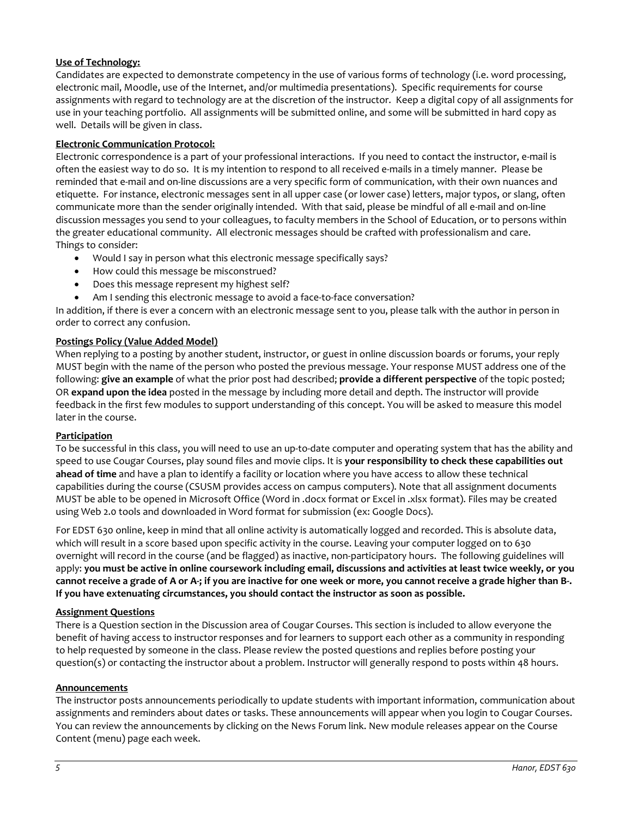## **Use of Technology:**

Candidates are expected to demonstrate competency in the use of various forms of technology (i.e. word processing, electronic mail, Moodle, use of the Internet, and/or multimedia presentations). Specific requirements for course assignments with regard to technology are at the discretion of the instructor. Keep a digital copy of all assignments for use in your teaching portfolio. All assignments will be submitted online, and some will be submitted in hard copy as well. Details will be given in class.

## **Electronic Communication Protocol:**

Electronic correspondence is a part of your professional interactions. If you need to contact the instructor, e-mail is often the easiest way to do so. It is my intention to respond to all received e-mails in a timely manner. Please be reminded that e-mail and on-line discussions are a very specific form of communication, with their own nuances and etiquette. For instance, electronic messages sent in all upper case (or lower case) letters, major typos, or slang, often communicate more than the sender originally intended. With that said, please be mindful of all e-mail and on-line discussion messages you send to your colleagues, to faculty members in the School of Education, or to persons within the greater educational community. All electronic messages should be crafted with professionalism and care. Things to consider:

- Would I say in person what this electronic message specifically says?
- How could this message be misconstrued?
- Does this message represent my highest self?
- Am I sending this electronic message to avoid a face-to-face conversation?

In addition, if there is ever a concern with an electronic message sent to you, please talk with the author in person in order to correct any confusion.

## **Postings Policy (Value Added Model)**

When replying to a posting by another student, instructor, or guest in online discussion boards or forums, your reply MUST begin with the name of the person who posted the previous message. Your response MUST address one of the following: **give an example** of what the prior post had described; **provide a different perspective** of the topic posted; OR **expand upon the idea** posted in the message by including more detail and depth. The instructor will provide feedback in the first few modules to support understanding of this concept. You will be asked to measure this model later in the course.

#### **Participation**

To be successful in this class, you will need to use an up-to-date computer and operating system that has the ability and speed to use Cougar Courses, play sound files and movie clips. It is **your responsibility to check these capabilities out ahead of time** and have a plan to identify a facility or location where you have access to allow these technical capabilities during the course (CSUSM provides access on campus computers). Note that all assignment documents MUST be able to be opened in Microsoft Office (Word in .docx format or Excel in .xlsx format). Files may be created using Web 2.0 tools and downloaded in Word format for submission (ex: Google Docs).

For EDST 630 online, keep in mind that all online activity is automatically logged and recorded. This is absolute data, which will result in a score based upon specific activity in the course. Leaving your computer logged on to 630 overnight will record in the course (and be flagged) as inactive, non-participatory hours. The following guidelines will apply: **you must be active in online coursework including email, discussions and activities at least twice weekly, or you cannot receive a grade of A or A-; if you are inactive for one week or more, you cannot receive a grade higher than B-. If you have extenuating circumstances, you should contact the instructor as soon as possible.** 

#### **Assignment Questions**

There is a Question section in the Discussion area of Cougar Courses. This section is included to allow everyone the benefit of having access to instructor responses and for learners to support each other as a community in responding to help requested by someone in the class. Please review the posted questions and replies before posting your question(s) or contacting the instructor about a problem. Instructor will generally respond to posts within 48 hours.

#### **Announcements**

The instructor posts announcements periodically to update students with important information, communication about assignments and reminders about dates or tasks. These announcements will appear when you login to Cougar Courses. You can review the announcements by clicking on the News Forum link. New module releases appear on the Course Content (menu) page each week.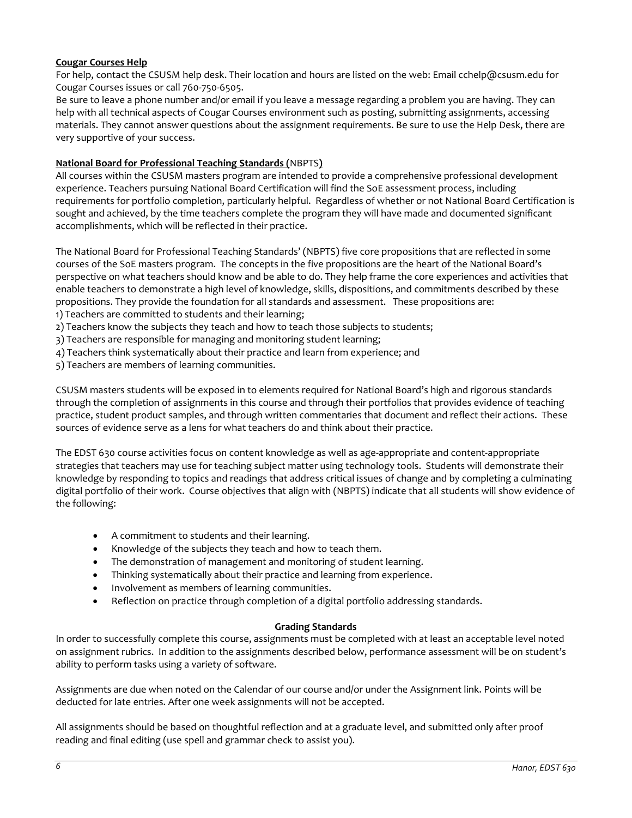## **Cougar Courses Help**

For help, contact the CSUSM help desk. Their location and hours are listed on the web: Email cchelp@csusm.edu for Cougar Courses issues or call 760-750-6505.

Be sure to leave a phone number and/or email if you leave a message regarding a problem you are having. They can help with all technical aspects of Cougar Courses environment such as posting, submitting assignments, accessing materials. They cannot answer questions about the assignment requirements. Be sure to use the Help Desk, there are very supportive of your success.

## **National Board for Professional Teaching Standards (**[NBPTS](http://www.nbpts.org/)**)**

All courses within the CSUSM masters program are intended to provide a comprehensive professional development experience. Teachers pursuing National Board Certification will find the SoE assessment process, including requirements for portfolio completion, particularly helpful. Regardless of whether or not National Board Certification is sought and achieved, by the time teachers complete the program they will have made and documented significant accomplishments, which will be reflected in their practice.

The National Board for Professional Teaching Standards' (NBPTS) five core propositions that are reflected in some courses of the SoE masters program. The concepts in the five propositions are the heart of the National Board's perspective on what teachers should know and be able to do. They help frame the core experiences and activities that enable teachers to demonstrate a high level of knowledge, skills, dispositions, and commitments described by these propositions. They provide the foundation for all standards and assessment. These propositions are:

- 1) Teachers are committed to students and their learning;
- 2) Teachers know the subjects they teach and how to teach those subjects to students;
- 3) Teachers are responsible for managing and monitoring student learning;
- 4) Teachers think systematically about their practice and learn from experience; and
- 5) Teachers are members of learning communities.

CSUSM masters students will be exposed in to elements required for National Board's high and rigorous standards through the completion of assignments in this course and through their portfolios that provides evidence of teaching practice, student product samples, and through written commentaries that document and reflect their actions. These sources of evidence serve as a lens for what teachers do and think about their practice.

The EDST 630 course activities focus on content knowledge as well as age-appropriate and content-appropriate strategies that teachers may use for teaching subject matter using technology tools. Students will demonstrate their knowledge by responding to topics and readings that address critical issues of change and by completing a culminating digital portfolio of their work. Course objectives that align with (NBPTS) indicate that all students will show evidence of the following:

- A commitment to students and their learning.
- Knowledge of the subjects they teach and how to teach them.
- The demonstration of management and monitoring of student learning.
- Thinking systematically about their practice and learning from experience.
- Involvement as members of learning communities.
- Reflection on practice through completion of a digital portfolio addressing standards.

#### **Grading Standards**

<span id="page-5-0"></span>In order to successfully complete this course, assignments must be completed with at least an acceptable level noted on assignment rubrics. In addition to the assignments described below, performance assessment will be on student's ability to perform tasks using a variety of software.

Assignments are due when noted on the Calendar of our course and/or under the Assignment link. Points will be deducted for late entries. After one week assignments will not be accepted.

All assignments should be based on thoughtful reflection and at a graduate level, and submitted only after proof reading and final editing (use spell and grammar check to assist you).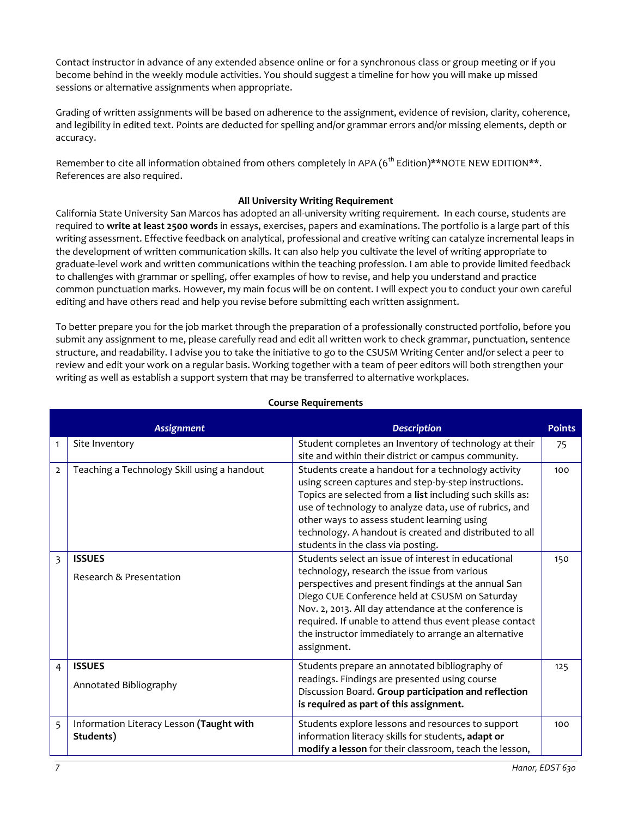Contact instructor in advance of any extended absence online or for a synchronous class or group meeting or if you become behind in the weekly module activities. You should suggest a timeline for how you will make up missed sessions or alternative assignments when appropriate.

Grading of written assignments will be based on adherence to the assignment, evidence of revision, clarity, coherence, and legibility in edited text. Points are deducted for spelling and/or grammar errors and/or missing elements, depth or accuracy.

Remember to cite all information obtained from others completely in APA (6<sup>th</sup> Edition)\*\*NOTE NEW EDITION\*\*. References are also required.

## **All University Writing Requirement**

<span id="page-6-0"></span>California State University San Marcos has adopted an all-university writing requirement. In each course, students are required to **write at least 2500 words** in essays, exercises, papers and examinations. The portfolio is a large part of this writing assessment. Effective feedback on analytical, professional and creative writing can catalyze incremental leaps in the development of written communication skills. It can also help you cultivate the level of writing appropriate to graduate-level work and written communications within the teaching profession. I am able to provide limited feedback to challenges with grammar or spelling, offer examples of how to revise, and help you understand and practice common punctuation marks. However, my main focus will be on content. I will expect you to conduct your own careful editing and have others read and help you revise before submitting each written assignment.

To better prepare you for the job market through the preparation of a professionally constructed portfolio, before you submit any assignment to me, please carefully read and edit all written work to check grammar, punctuation, sentence structure, and readability. I advise you to take the initiative to go to the CSUSM Writing Center and/or select a peer to review and edit your work on a regular basis. Working together with a team of peer editors will both strengthen your writing as well as establish a support system that may be transferred to alternative workplaces.

<span id="page-6-1"></span>

|                | <b>Assignment</b>                                     | <b>Description</b>                                                                                                                                                                                                                                                                                                                                                                                     | <b>Points</b> |
|----------------|-------------------------------------------------------|--------------------------------------------------------------------------------------------------------------------------------------------------------------------------------------------------------------------------------------------------------------------------------------------------------------------------------------------------------------------------------------------------------|---------------|
| $\mathbf{1}$   | Site Inventory                                        | Student completes an Inventory of technology at their<br>site and within their district or campus community.                                                                                                                                                                                                                                                                                           | 75            |
| $\overline{2}$ | Teaching a Technology Skill using a handout           | Students create a handout for a technology activity<br>using screen captures and step-by-step instructions.<br>Topics are selected from a list including such skills as:<br>use of technology to analyze data, use of rubrics, and<br>other ways to assess student learning using<br>technology. A handout is created and distributed to all<br>students in the class via posting.                     | 100           |
| 3              | <b>ISSUES</b><br>Research & Presentation              | Students select an issue of interest in educational<br>technology, research the issue from various<br>perspectives and present findings at the annual San<br>Diego CUE Conference held at CSUSM on Saturday<br>Nov. 2, 2013. All day attendance at the conference is<br>required. If unable to attend thus event please contact<br>the instructor immediately to arrange an alternative<br>assignment. | 150           |
| 4              | <b>ISSUES</b><br>Annotated Bibliography               | Students prepare an annotated bibliography of<br>readings. Findings are presented using course<br>Discussion Board. Group participation and reflection<br>is required as part of this assignment.                                                                                                                                                                                                      | 125           |
| 5              | Information Literacy Lesson (Taught with<br>Students) | Students explore lessons and resources to support<br>information literacy skills for students, adapt or<br>modify a lesson for their classroom, teach the lesson,                                                                                                                                                                                                                                      | 100           |

#### **Course Requirements**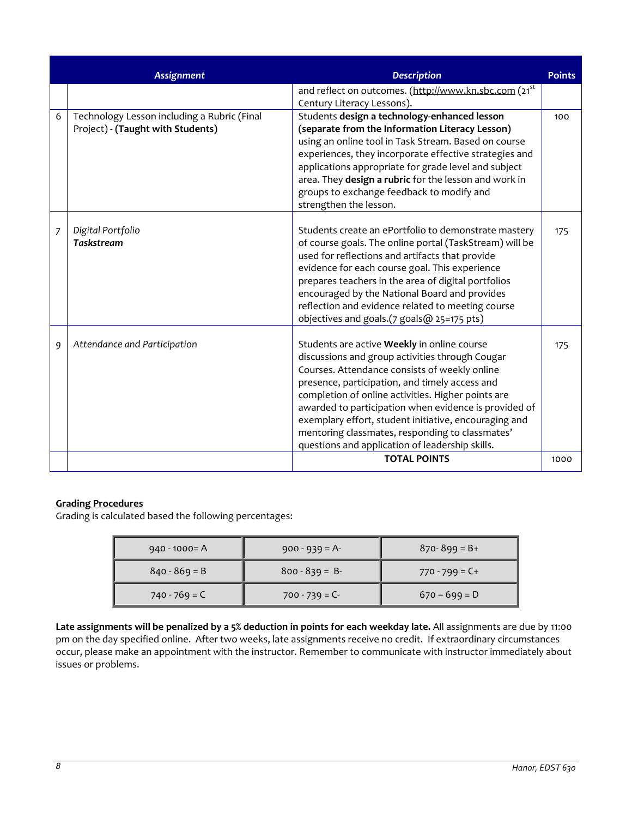|   | <b>Assignment</b>                                                                | <b>Description</b>                                                                                                                                                                                                                                                                                                                                                                                                                                                              | <b>Points</b> |
|---|----------------------------------------------------------------------------------|---------------------------------------------------------------------------------------------------------------------------------------------------------------------------------------------------------------------------------------------------------------------------------------------------------------------------------------------------------------------------------------------------------------------------------------------------------------------------------|---------------|
|   |                                                                                  | and reflect on outcomes. (http://www.kn.sbc.com (21 <sup>st</sup><br>Century Literacy Lessons).                                                                                                                                                                                                                                                                                                                                                                                 |               |
| 6 | Technology Lesson including a Rubric (Final<br>Project) - (Taught with Students) | Students design a technology-enhanced lesson<br>(separate from the Information Literacy Lesson)<br>using an online tool in Task Stream. Based on course<br>experiences, they incorporate effective strategies and<br>applications appropriate for grade level and subject<br>area. They design a rubric for the lesson and work in<br>groups to exchange feedback to modify and<br>strengthen the lesson.                                                                       | 100           |
| 7 | Digital Portfolio<br><b>Taskstream</b>                                           | Students create an ePortfolio to demonstrate mastery<br>of course goals. The online portal (TaskStream) will be<br>used for reflections and artifacts that provide<br>evidence for each course goal. This experience<br>prepares teachers in the area of digital portfolios<br>encouraged by the National Board and provides<br>reflection and evidence related to meeting course<br>objectives and goals.(7 goals@ 25=175 pts)                                                 | 175           |
| 9 | Attendance and Participation                                                     | Students are active Weekly in online course<br>discussions and group activities through Cougar<br>Courses. Attendance consists of weekly online<br>presence, participation, and timely access and<br>completion of online activities. Higher points are<br>awarded to participation when evidence is provided of<br>exemplary effort, student initiative, encouraging and<br>mentoring classmates, responding to classmates'<br>questions and application of leadership skills. | 175           |
|   |                                                                                  | <b>TOTAL POINTS</b>                                                                                                                                                                                                                                                                                                                                                                                                                                                             | 1000          |

## **Grading Procedures**

Grading is calculated based the following percentages:

| $940 - 1000 = A$ | $900 - 939 = A$   | $870 - 899 = B +$ |
|------------------|-------------------|-------------------|
| $840 - 869 = B$  | $800 - 839 = B$   | $770 - 799 = C +$ |
| $740 - 769 = C$  | $700 - 739 = C -$ | $670 - 699 = D$   |

**Late assignments will be penalized by a 5% deduction in points for each weekday late.** All assignments are due by 11:00 pm on the day specified online. After two weeks, late assignments receive no credit. If extraordinary circumstances occur, please make an appointment with the instructor. Remember to communicate with instructor immediately about issues or problems.